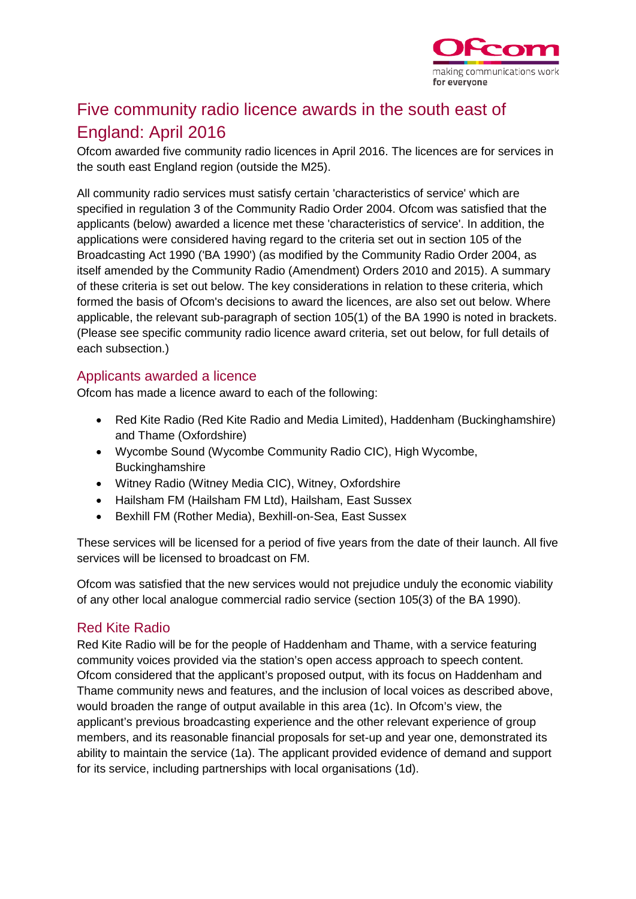

# Five community radio licence awards in the south east of England: April 2016

Ofcom awarded five community radio licences in April 2016. The licences are for services in the south east England region (outside the M25).

All community radio services must satisfy certain 'characteristics of service' which are specified in regulation 3 of the Community Radio Order 2004. Ofcom was satisfied that the applicants (below) awarded a licence met these 'characteristics of service'. In addition, the applications were considered having regard to the criteria set out in section 105 of the Broadcasting Act 1990 ('BA 1990') (as modified by the Community Radio Order 2004, as itself amended by the Community Radio (Amendment) Orders 2010 and 2015). A summary of these criteria is set out below. The key considerations in relation to these criteria, which formed the basis of Ofcom's decisions to award the licences, are also set out below. Where applicable, the relevant sub-paragraph of section 105(1) of the BA 1990 is noted in brackets. (Please see specific community radio licence award criteria, set out below, for full details of each subsection.)

# Applicants awarded a licence

Ofcom has made a licence award to each of the following:

- Red Kite Radio (Red Kite Radio and Media Limited), Haddenham (Buckinghamshire) and Thame (Oxfordshire)
- Wycombe Sound (Wycombe Community Radio CIC), High Wycombe, **Buckinghamshire**
- Witney Radio (Witney Media CIC), Witney, Oxfordshire
- Hailsham FM (Hailsham FM Ltd), Hailsham, East Sussex
- Bexhill FM (Rother Media), Bexhill-on-Sea, East Sussex

These services will be licensed for a period of five years from the date of their launch. All five services will be licensed to broadcast on FM.

Ofcom was satisfied that the new services would not prejudice unduly the economic viability of any other local analogue commercial radio service (section 105(3) of the BA 1990).

# Red Kite Radio

Red Kite Radio will be for the people of Haddenham and Thame, with a service featuring community voices provided via the station's open access approach to speech content. Ofcom considered that the applicant's proposed output, with its focus on Haddenham and Thame community news and features, and the inclusion of local voices as described above, would broaden the range of output available in this area (1c). In Ofcom's view, the applicant's previous broadcasting experience and the other relevant experience of group members, and its reasonable financial proposals for set-up and year one, demonstrated its ability to maintain the service (1a). The applicant provided evidence of demand and support for its service, including partnerships with local organisations (1d).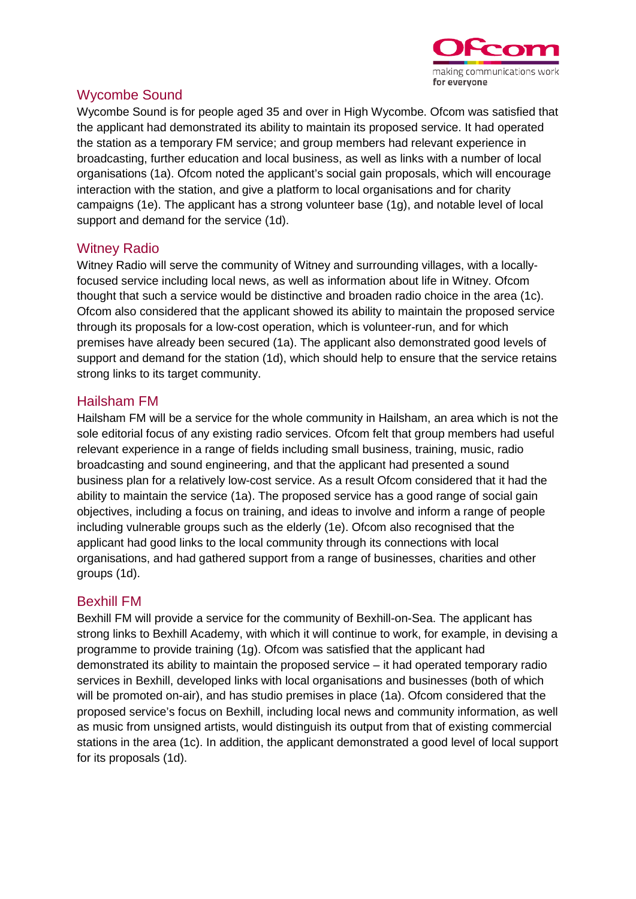

# Wycombe Sound

Wycombe Sound is for people aged 35 and over in High Wycombe. Ofcom was satisfied that the applicant had demonstrated its ability to maintain its proposed service. It had operated the station as a temporary FM service; and group members had relevant experience in broadcasting, further education and local business, as well as links with a number of local organisations (1a). Ofcom noted the applicant's social gain proposals, which will encourage interaction with the station, and give a platform to local organisations and for charity campaigns (1e). The applicant has a strong volunteer base (1g), and notable level of local support and demand for the service (1d).

# Witney Radio

Witney Radio will serve the community of Witney and surrounding villages, with a locallyfocused service including local news, as well as information about life in Witney. Ofcom thought that such a service would be distinctive and broaden radio choice in the area (1c). Ofcom also considered that the applicant showed its ability to maintain the proposed service through its proposals for a low-cost operation, which is volunteer-run, and for which premises have already been secured (1a). The applicant also demonstrated good levels of support and demand for the station (1d), which should help to ensure that the service retains strong links to its target community.

# Hailsham FM

Hailsham FM will be a service for the whole community in Hailsham, an area which is not the sole editorial focus of any existing radio services. Ofcom felt that group members had useful relevant experience in a range of fields including small business, training, music, radio broadcasting and sound engineering, and that the applicant had presented a sound business plan for a relatively low-cost service. As a result Ofcom considered that it had the ability to maintain the service (1a). The proposed service has a good range of social gain objectives, including a focus on training, and ideas to involve and inform a range of people including vulnerable groups such as the elderly (1e). Ofcom also recognised that the applicant had good links to the local community through its connections with local organisations, and had gathered support from a range of businesses, charities and other groups (1d).

#### Bexhill FM

Bexhill FM will provide a service for the community of Bexhill-on-Sea. The applicant has strong links to Bexhill Academy, with which it will continue to work, for example, in devising a programme to provide training (1g). Ofcom was satisfied that the applicant had demonstrated its ability to maintain the proposed service – it had operated temporary radio services in Bexhill, developed links with local organisations and businesses (both of which will be promoted on-air), and has studio premises in place (1a). Ofcom considered that the proposed service's focus on Bexhill, including local news and community information, as well as music from unsigned artists, would distinguish its output from that of existing commercial stations in the area (1c). In addition, the applicant demonstrated a good level of local support for its proposals (1d).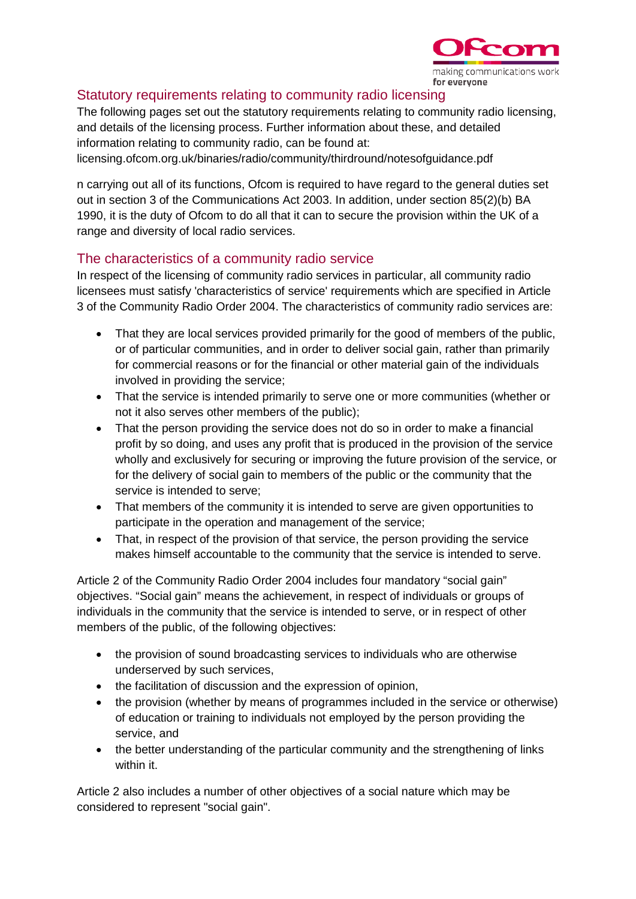

# Statutory requirements relating to community radio licensing

The following pages set out the statutory requirements relating to community radio licensing, and details of the licensing process. Further information about these, and detailed information relating to community radio, can be found at: licensing.ofcom.org.uk/binaries/radio/community/thirdround/notesofguidance.pdf

n carrying out all of its functions, Ofcom is required to have regard to the general duties set out in section 3 of the Communications Act 2003. In addition, under section 85(2)(b) BA 1990, it is the duty of Ofcom to do all that it can to secure the provision within the UK of a range and diversity of local radio services.

# The characteristics of a community radio service

In respect of the licensing of community radio services in particular, all community radio licensees must satisfy 'characteristics of service' requirements which are specified in Article 3 of the Community Radio Order 2004. The characteristics of community radio services are:

- That they are local services provided primarily for the good of members of the public, or of particular communities, and in order to deliver social gain, rather than primarily for commercial reasons or for the financial or other material gain of the individuals involved in providing the service;
- That the service is intended primarily to serve one or more communities (whether or not it also serves other members of the public);
- That the person providing the service does not do so in order to make a financial profit by so doing, and uses any profit that is produced in the provision of the service wholly and exclusively for securing or improving the future provision of the service, or for the delivery of social gain to members of the public or the community that the service is intended to serve;
- That members of the community it is intended to serve are given opportunities to participate in the operation and management of the service;
- That, in respect of the provision of that service, the person providing the service makes himself accountable to the community that the service is intended to serve.

Article 2 of the Community Radio Order 2004 includes four mandatory "social gain" objectives. "Social gain" means the achievement, in respect of individuals or groups of individuals in the community that the service is intended to serve, or in respect of other members of the public, of the following objectives:

- the provision of sound broadcasting services to individuals who are otherwise underserved by such services,
- the facilitation of discussion and the expression of opinion,
- the provision (whether by means of programmes included in the service or otherwise) of education or training to individuals not employed by the person providing the service, and
- the better understanding of the particular community and the strengthening of links within it.

Article 2 also includes a number of other objectives of a social nature which may be considered to represent "social gain".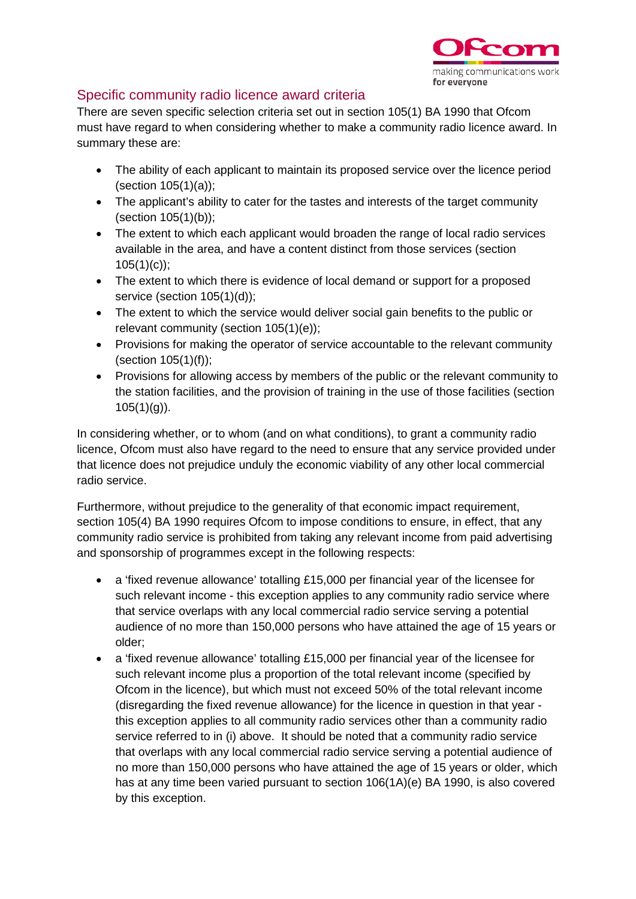

# Specific community radio licence award criteria

There are seven specific selection criteria set out in section 105(1) BA 1990 that Ofcom must have regard to when considering whether to make a community radio licence award. In summary these are:

- The ability of each applicant to maintain its proposed service over the licence period (section 105(1)(a));
- The applicant's ability to cater for the tastes and interests of the target community (section 105(1)(b));
- The extent to which each applicant would broaden the range of local radio services available in the area, and have a content distinct from those services (section  $105(1)(c)$ ;
- The extent to which there is evidence of local demand or support for a proposed service (section 105(1)(d));
- The extent to which the service would deliver social gain benefits to the public or relevant community (section 105(1)(e));
- Provisions for making the operator of service accountable to the relevant community (section 105(1)(f));
- Provisions for allowing access by members of the public or the relevant community to the station facilities, and the provision of training in the use of those facilities (section  $105(1)(q)$ ).

In considering whether, or to whom (and on what conditions), to grant a community radio licence, Ofcom must also have regard to the need to ensure that any service provided under that licence does not prejudice unduly the economic viability of any other local commercial radio service.

Furthermore, without prejudice to the generality of that economic impact requirement, section 105(4) BA 1990 requires Ofcom to impose conditions to ensure, in effect, that any community radio service is prohibited from taking any relevant income from paid advertising and sponsorship of programmes except in the following respects:

- a 'fixed revenue allowance' totalling £15,000 per financial year of the licensee for such relevant income - this exception applies to any community radio service where that service overlaps with any local commercial radio service serving a potential audience of no more than 150,000 persons who have attained the age of 15 years or older;
- a 'fixed revenue allowance' totalling £15,000 per financial year of the licensee for such relevant income plus a proportion of the total relevant income (specified by Ofcom in the licence), but which must not exceed 50% of the total relevant income (disregarding the fixed revenue allowance) for the licence in question in that year this exception applies to all community radio services other than a community radio service referred to in (i) above. It should be noted that a community radio service that overlaps with any local commercial radio service serving a potential audience of no more than 150,000 persons who have attained the age of 15 years or older, which has at any time been varied pursuant to section 106(1A)(e) BA 1990, is also covered by this exception.